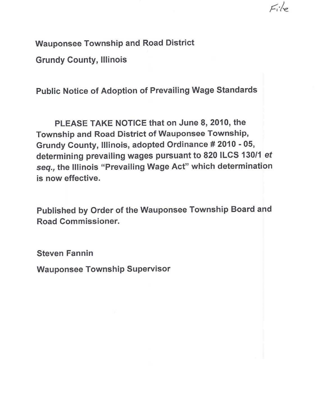**Wauponsee Township and Road District** 

**Grundy County, Illinois** 

**Public Notice of Adoption of Prevailing Wage Standards** 

 $E_i/\circ$ 

**PLEASE TAKE NOTICE that on June 8, 2010, the Township and Road District of Wauponsee Township, Grundy County, Illinois, adopted Ordinance # 2010 - 05, determining prevailing wages pursuant to 820 ILCS 130/1 et**  seq., **the Illinois "Prevailing Wage Act" which determination is now effective.** 

**Published by Order of the Wauponsee Township Board and Road Commissioner.** 

**Steven Fannin** 

**Wauponsee Township Supervisor**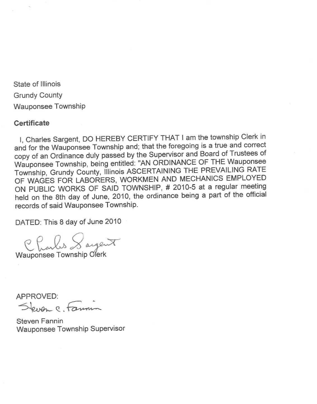State of Illinois Grundy County Wauponsee Township

# **Certificate**

I, Charles Sargent, DO HEREBY CERTIFY THAT I am the township Clerk in and for the Wauponsee Township and; that the foregoing is a true and correct Wauponsee Township, being entitled: "AN ORDINANCE OF THE Wauponsee<br>Township, Grundy County, Illinois ASCERTAINING THE PREVAILING RATE<br>OF WAGES FOR LABORERS, WORKMEN AND MECHANICS EMPLOYED<br>ON PUBLIC WORKS OF SAID TOWNSHIP, held on the 8th day of June, 2010, the ordinance being a part of the official records of said Wauponsee Township.

DATED: This 8 day of June 2010

Charles Sayert

APPROVED:<br>Steinen C. Famin

Steven Fannin Wauponsee Township Supervisor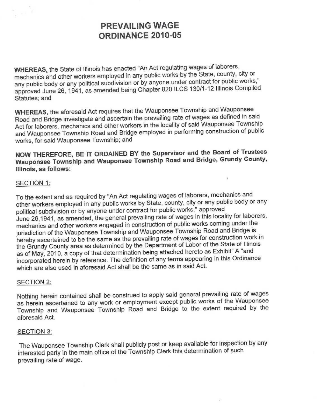# **PREVAILING WAGE ORDINANCE 2010-05**

WHEREAS, the State of Illinois has enacted "An Act regulating wages of laborers,<br>mechanics and other workers employed in any public works by the State, county, city or any public body or any political subdivision or by anyone under contract for public works,"<br>approved June 26, 1941, as amended being Chapter 820 ILCS 130/1-12 Illinois Compiled Statutes; and

**WHEREAS,** the aforesaid Act requires that the Wauponsee Township and Wauponsee Act for laborers, mechanics and other workers in the locality of said Wauponsee Township<br>and Wauponsee Township Road and Bridge employed in performing construction of public works, for said Wauponsee Township; and

**NOW THEREFORE, BE IT ORDAINED BY the Supervisor and the Board of Trustees Wauponsee Township and Wauponsee Township Road and Bridge, Grundy County, Illinois, as follows:** 

 $\bar{1}$ 

## SECTION 1:

To the extent and as required by "An Act regulating wages of laborers, mechanics and<br>other workers employed in any public works by State, county, city or any public body or any<br>political subdivision or by anyone under cont June 26,1941, as amended, the general prevailing rate of wages in this locality for laborers, mechanics and other workers engaged in construction of public works coming under the jurisdiction of the Wauponsee Township and the Grundy County area as determined by the Department of Labor of the State of Illinois<br>as of May, 2010, a copy of that determination being attached hereto as Exhibit" A "and<br>incorporated herein by reference. The definiti which are also used in aforesaid Act shall be the same as in said Act.

## SECTION 2:

Nothing herein contained shall be construed to apply said general prevailing rate of wages<br>as herein ascertained to any work or employment except public works of the Wauponsee<br>Township and Wauponsee Township Road and Bridg aforesaid Act.

## SECTION 3:

The Wauponsee Township Clerk shall publicly post or keep available for inspection by any interested party in the main office of the Township Clerk this determination of such prevailing rate of wage.